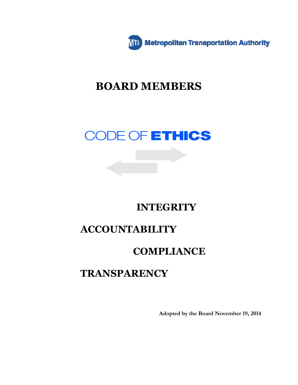

# **BOARD MEMBERS**

# CODE OF ETHICS

# **INTEGRITY**

# **ACCOUNTABILITY**

# **COMPLIANCE**

# **TRANSPARENCY**

**Adopted by the Board November 19, 2014**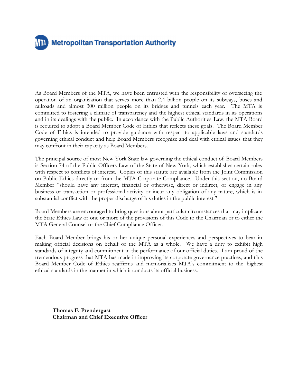# **Metropolitan Transportation Authority**

As Board Members of the MTA, we have been entrusted with the responsibility of overseeing the operation of an organization that serves more than 2.4 billion people on its subways, buses and railroads and almost 300 million people on its bridges and tunnels each year. The MTA is committed to fostering a climate of transparency and the highest ethical standards in its operations and in its dealings with the public. In accordance with the Public Authorities Law, the MTA Board is required to adopt a Board Member Code of Ethics that reflects these goals. The Board Member Code of Ethics is intended to provide guidance with respect to applicable laws and standards governing ethical conduct and help Board Members recognize and deal with ethical issues that they may confront in their capacity as Board Members.

The principal source of most New York State law governing the ethical conduct of Board Members is Section 74 of the Public Officers Law of the State of New York, which establishes certain rules with respect to conflicts of interest. Copies of this statute are available from the Joint Commission on Public Ethics directly or from the MTA Corporate Compliance. Under this section, no Board Member "should have any interest, financial or otherwise, direct or indirect, or engage in any business or transaction or professional activity or incur any obligation of any nature, which is in substantial conflict with the proper discharge of his duties in the public interest."

Board Members are encouraged to bring questions about particular circumstances that may implicate the State Ethics Law or one or more of the provisions of this Code to the Chairman or to either the MTA General Counsel or the Chief Compliance Officer.

Each Board Member brings his or her unique personal experiences and perspectives to bear in making official decisions on behalf of the MTA as a whole. We have a duty to exhibit high standards of integrity and commitment in the performance of our official duties. I am proud of the tremendous progress that MTA has made in improving its corporate governance practices, and t his Board Member Code of Ethics reaffirms and memorializes MTA's commitment to the highest ethical standards in the manner in which it conducts its official business.

**Thomas F. Prendergast Chairman and Chief Executive Officer**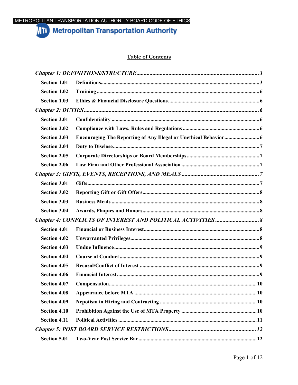### METROPOLITAN TRANSPORTATION AUTHORITY BOARD CODE OF ETHICS

## **MIA** Metropolitan Transportation Authority

### **Table of Contents**

| <b>Section 1.01</b> |  |  |  |
|---------------------|--|--|--|
| <b>Section 1.02</b> |  |  |  |
| <b>Section 1.03</b> |  |  |  |
|                     |  |  |  |
| <b>Section 2.01</b> |  |  |  |
| <b>Section 2.02</b> |  |  |  |
| <b>Section 2.03</b> |  |  |  |
| <b>Section 2.04</b> |  |  |  |
| <b>Section 2.05</b> |  |  |  |
| <b>Section 2.06</b> |  |  |  |
|                     |  |  |  |
| <b>Section 3.01</b> |  |  |  |
| <b>Section 3.02</b> |  |  |  |
| <b>Section 3.03</b> |  |  |  |
| <b>Section 3.04</b> |  |  |  |
|                     |  |  |  |
| <b>Section 4.01</b> |  |  |  |
| <b>Section 4.02</b> |  |  |  |
| <b>Section 4.03</b> |  |  |  |
| <b>Section 4.04</b> |  |  |  |
| <b>Section 4.05</b> |  |  |  |
| <b>Section 4.06</b> |  |  |  |
| <b>Section 4.07</b> |  |  |  |
| <b>Section 4.08</b> |  |  |  |
| <b>Section 4.09</b> |  |  |  |
| <b>Section 4.10</b> |  |  |  |
| <b>Section 4.11</b> |  |  |  |
|                     |  |  |  |
| Section 5.01        |  |  |  |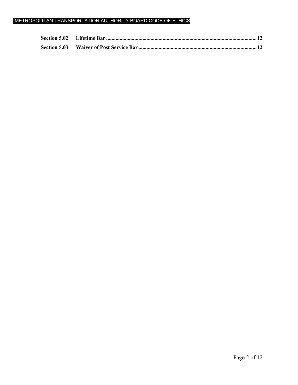### METROPOLITAN TRANSPORTATION AUTHORITY BOARD CODE OF ETHICS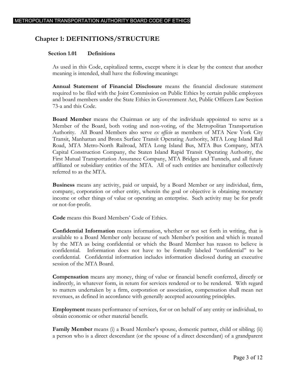## **Chapter 1: DEFINITIONS/STRUCTURE**

#### <span id="page-4-0"></span>**Section 1.01 Definitions**

<span id="page-4-1"></span>As used in this Code, capitalized terms, except where it is clear by the context that another meaning is intended, shall have the following meanings:

**Annual Statement of Financial Disclosure** means the financial disclosure statement required to be filed with the Joint Commission on Public Ethics by certain public employees and board members under the State Ethics in Government Act, Public Officers Law Section 73-a and this Code.

**Board Member** means the Chairman or any of the individuals appointed to serve as a Member of the Board, both voting and non-voting, of the Metropolitan Transportation Authority. All Board Members also serve *ex officio* as members of MTA New York City Transit, Manhattan and Bronx Surface Transit Operating Authority, MTA Long Island Rail Road, MTA Metro-North Railroad, MTA Long Island Bus, MTA Bus Company, MTA Capital Construction Company, the Staten Island Rapid Transit Operating Authority, the First Mutual Transportation Assurance Company, MTA Bridges and Tunnels, and all future affiliated or subsidiary entities of the MTA. All of such entities are hereinafter collectively referred to as the MTA.

**Business** means any activity, paid or unpaid, by a Board Member or any individual, firm, company, corporation or other entity, wherein the goal or objective is obtaining monetary income or other things of value or operating an enterprise. Such activity may be for profit or not-for-profit.

**Code** means this Board Members' Code of Ethics.

**Confidential Information** means information, whether or not set forth in writing, that is available to a Board Member only because of such Member's position and which is treated by the MTA as being confidential or which the Board Member has reason to believe is confidential. Information does not have to be formally labeled "confidential" to be confidential. Confidential information includes information disclosed during an executive session of the MTA Board.

**Compensation** means any money, thing of value or financial benefit conferred, directly or indirectly, in whatever form, in return for services rendered or to be rendered. With regard to matters undertaken by a firm, corporation or association, compensation shall mean net revenues, as defined in accordance with generally accepted accounting principles.

**Employment** means performance of services, for or on behalf of any entity or individual, to obtain economic or other material benefit.

**Family Member** means (i) a Board Member's spouse, domestic partner, child or sibling; (ii) a person who is a direct descendant (or the spouse of a direct descendant) of a grandparent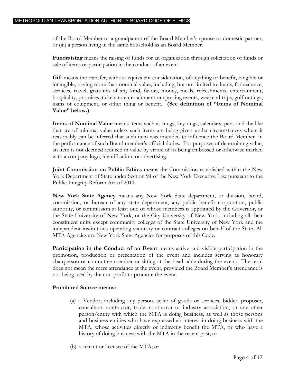of the Board Member or a grandparent of the Board Member's spouse or domestic partner; or (iii) a person living in the same household as an Board Member.

**Fundraising** means the raising of funds for an organization through solicitation of funds or sale of items or participation in the conduct of an event.

**Gift** means the transfer, without equivalent consideration, of anything or benefit, tangible or intangible, having more than nominal value, including, but not limited to, loans, forbearance, services, travel, gratuities of any kind, favors, money, meals, refreshments, entertainment, hospitality, promises, tickets to entertainment or sporting events, weekend trips, golf outings, loans of equipment, or other thing or benefit. **(See definition of "Items of Nominal Value" below.)**

**Items of Nominal Value** means items such as mugs, key rings, calendars, pens and the like that are of minimal value unless such items are being given under circumstances where it reasonably can be inferred that such item was intended to influence the Board Member in the performance of such Board member's official duties. For purposes of determining value, an item is not deemed reduced in value by virtue of its being embossed or otherwise marked with a company logo, identification, or advertising.

**Joint Commission on Public Ethics** means the Commission established within the New York Department of State under Section 94 of the New York Executive Law pursuant to the Public Integrity Reform Act of 2011.

**New York State Agency** means any New York State department, or division, board, commission, or bureau of any state department, any public benefit corporation, public authority, or commission at least one of whose members is appointed by the Governor, or the State University of New York, or the City University of New York, including all their constituent units except community colleges of the State University of New York and the independent institutions operating statutory or contract colleges on behalf of the State. All MTA Agencies are New York State Agencies for purposes of this Code.

**Participation in the Conduct of an Event** means active and visible participation in the promotion, production or presentation of the event and includes serving as honorary chairperson or committee member or sitting at the head table during the event. The term does not mean the mere attendance at the event, provided the Board Member's attendance is not being used by the non-profit to promote the event.

#### **Prohibited Source means:**

- (a) a Vendor; including any person, seller of goods or services, bidder, proposer, consultant, contractor, trade, contractor or industry association, or any other person/entity with which the MTA is doing business, as well as those persons and business entities who have expressed an interest in doing business with the MTA, whose activities directly or indirectly benefit the MTA, or who have a history of doing business with the MTA in the recent past; or
- (b) a tenant or licensee of the MTA; or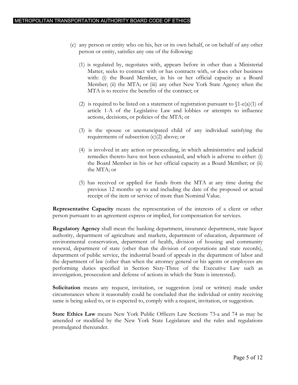- (c) any person or entity who on his, her or its own behalf, or on behalf of any other person or entity, satisfies any one of the following:
	- (1) is regulated by, negotiates with, appears before in other than a Ministerial Matter, seeks to contract with or has contracts with, or does other business with: (i) the Board Member, in his or her official capacity as a Board Member; (ii) the MTA; or (iii) any other New York State Agency when the MTA is to receive the benefits of the contract; or
	- (2) is required to be listed on a statement of registration pursuant to  $\[1-e(a)(1)$  of article 1-A of the Legislative Law and lobbies or attempts to influence actions, decisions, or policies of the MTA; or
	- (3) is the spouse or unemancipated child of any individual satisfying the requirements of subsection  $(c)(2)$  above; or
	- (4) is involved in any action or proceeding, in which administrative and judicial remedies thereto have not been exhausted, and which is adverse to either: (i) the Board Member in his or her official capacity as a Board Member; or (ii) the MTA; or
	- (5) has received or applied for funds from the MTA at any time during the previous 12 months up to and including the date of the proposed or actual receipt of the item or service of more than Nominal Value.

**Representative Capacity** means the representation of the interests of a client or other person pursuant to an agreement express or implied, for compensation for services.

**Regulatory Agency** shall mean the banking department, insurance department, state liquor authority, department of agriculture and markets, department of education, department of environmental conservation, department of health, division of housing and community renewal, department of state (other than the division of corporations and state records), department of public service, the industrial board of appeals in the department of labor and the department of law (other than when the attorney general or his agents or employees are performing duties specified in Section Sixty-Three of the Executive Law such as investigation, prosecution and defense of actions in which the State is interested).

**Solicitation** means any request, invitation, or suggestion (oral or written) made under circumstances where it reasonably could be concluded that the individual or entity receiving same is being asked to, or is expected to, comply with a request, invitation, or suggestion.

**State Ethics Law** means New York Public Officers Law Sections 73-a and 74 as may be amended or modified by the New York State Legislature and the rules and regulations promulgated thereunder.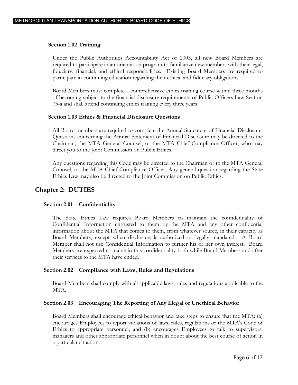#### **Section 1.02 Training**

<span id="page-7-0"></span>Under the Public Authorities Accountability Act of 2005, all new Board Members are required to participate in an orientation program to familiarize new members with their legal, fiduciary, financial, and ethical responsibilities. Existing Board Members are required to participate in continuing education regarding their ethical and fiduciary obligations.

Board Members must complete a comprehensive ethics training course within three months of becoming subject to the financial disclosure requirements of Public Officers Law Section 73-a and shall attend continuing ethics training every three years.

#### **Section 1.03 Ethics & Financial Disclosure Questions**

<span id="page-7-1"></span>All Board members are required to complete the Annual Statement of Financial Disclosure. Questions concerning the Annual Statement of Financial Disclosure may be directed to the Chairman, the MTA General Counsel, or the MTA Chief Compliance Officer, who may direct you to the Joint Commission on Public Ethics.

Any questions regarding this Code may be directed to the Chairman or to the MTA General Counsel, or the MTA Chief Compliance Officer. Any general question regarding the State Ethics Law may also be directed to the Joint Commission on Public Ethics.

### **Chapter 2: DUTIES**

#### <span id="page-7-2"></span>**Section 2.01 Confidentiality**

<span id="page-7-3"></span>The State Ethics Law requires Board Members to maintain the confidentiality of Confidential Information entrusted to them by the MTA and any other confidential information about the MTA that comes to them, from whatever source, in their capacity as Board Members, except when disclosure is authorized or legally mandated. A Board Member shall not use Confidential Information to further his or her own interest. Board Members are expected to maintain this confidentiality both while Board Members and after their services to the MTA have ended.

#### **Section 2.02 Compliance with Laws, Rules and Regulations**

<span id="page-7-4"></span>Board Members shall comply with all applicable laws, rules and regulations applicable to the MTA.

#### **Section 2.03 Encouraging The Reporting of Any Illegal or Unethical Behavior**

<span id="page-7-5"></span>Board Members shall encourage ethical behavior and take steps to ensure that the MTA: (a) encourages Employees to report violations of laws, rules, regulations or the MTA's Code of Ethics to appropriate personnel; and (b) encourages Employees to talk to supervisors, managers and other appropriate personnel when in doubt about the best course of action in a particular situation.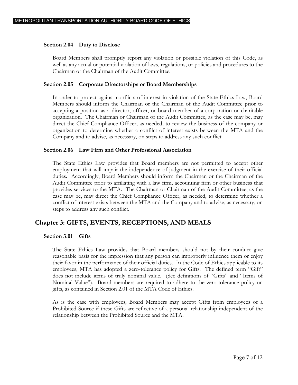#### **Section 2.04 Duty to Disclose**

<span id="page-8-0"></span>Board Members shall promptly report any violation or possible violation of this Code, as well as any actual or potential violation of laws, regulations, or policies and procedures to the Chairman or the Chairman of the Audit Committee.

#### **Section 2.05 Corporate Directorships or Board Memberships**

<span id="page-8-1"></span>In order to protect against conflicts of interest in violation of the State Ethics Law, Board Members should inform the Chairman or the Chairman of the Audit Committee prior to accepting a position as a director, officer, or board member of a corporation or charitable organization. The Chairman or Chairman of the Audit Committee, as the case may be, may direct the Chief Compliance Officer, as needed, to review the business of the company or organization to determine whether a conflict of interest exists between the MTA and the Company and to advise, as necessary, on steps to address any such conflict.

#### **Section 2.06 Law Firm and Other Professional Association**

<span id="page-8-2"></span>The State Ethics Law provides that Board members are not permitted to accept other employment that will impair the independence of judgment in the exercise of their official duties. Accordingly, Board Members should inform the Chairman or the Chairman of the Audit Committee prior to affiliating with a law firm, accounting firm or other business that provides services to the MTA. The Chairman or Chairman of the Audit Committee, as the case may be, may direct the Chief Compliance Officer, as needed, to determine whether a conflict of interest exists between the MTA and the Company and to advise, as necessary, on steps to address any such conflict.

### **Chapter 3: GIFTS, EVENTS, RECEPTIONS, AND MEALS**

#### <span id="page-8-3"></span>**Section 3.01 Gifts**

<span id="page-8-4"></span>The State Ethics Law provides that Board members should not by their conduct give reasonable basis for the impression that any person can improperly influence them or enjoy their favor in the performance of their official duties. In the Code of Ethics applicable to its employees, MTA has adopted a zero-tolerance policy for Gifts. The defined term "Gift" does not include items of truly nominal value. (See definitions of "Gifts" and "Items of Nominal Value"). Board members are required to adhere to the zero-tolerance policy on gifts, as contained in Section 2.01 of the MTA Code of Ethics.

As is the case with employees, Board Members may accept Gifts from employees of a Prohibited Source if these Gifts are reflective of a personal relationship independent of the relationship between the Prohibited Source and the MTA.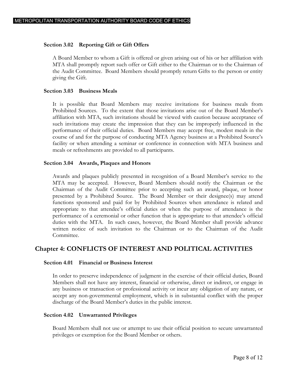#### **Section 3.02 Reporting Gift or Gift Offers**

<span id="page-9-0"></span>A Board Member to whom a Gift is offered or given arising out of his or her affiliation with MTA shall promptly report such offer or Gift either to the Chairman or to the Chairman of the Audit Committee. Board Members should promptly return Gifts to the person or entity giving the Gift.

#### **Section 3.03 Business Meals**

<span id="page-9-1"></span>It is possible that Board Members may receive invitations for business meals from Prohibited Sources. To the extent that those invitations arise out of the Board Member's affiliation with MTA, such invitations should be viewed with caution because acceptance of such invitations may create the impression that they can be improperly influenced in the performance of their official duties. Board Members may accept free, modest meals in the course of and for the purpose of conducting MTA Agency business at a Prohibited Source's facility or when attending a seminar or conference in connection with MTA business and meals or refreshments are provided to all participants.

#### **Section 3.04 Awards, Plaques and Honors**

<span id="page-9-2"></span>Awards and plaques publicly presented in recognition of a Board Member's service to the MTA may be accepted. However, Board Members should notify the Chairman or the Chairman of the Audit Committee prior to accepting such an award, plaque, or honor presented by a Prohibited Source. The Board Member or their designee(s) may attend functions sponsored and paid for by Prohibited Sources when attendance is related and appropriate to that attendee's official duties or when the purpose of attendance is the performance of a ceremonial or other function that is appropriate to that attendee's official duties with the MTA. In such cases, however, the Board Member shall provide advance written notice of such invitation to the Chairman or to the Chairman of the Audit Committee.

### **Chapter 4: CONFLICTS OF INTEREST AND POLITICAL ACTIVITIES**

#### <span id="page-9-3"></span>**Section 4.01 Financial or Business Interest**

<span id="page-9-4"></span>In order to preserve independence of judgment in the exercise of their official duties, Board Members shall not have any interest, financial or otherwise, direct or indirect, or engage in any business or transaction or professional activity or incur any obligation of any nature, or accept any non-governmental employment, which is in substantial conflict with the proper discharge of the Board Member's duties in the public interest.

#### **Section 4.02 Unwarranted Privileges**

<span id="page-9-5"></span>Board Members shall not use or attempt to use their official position to secure unwarranted privileges or exemption for the Board Member or others.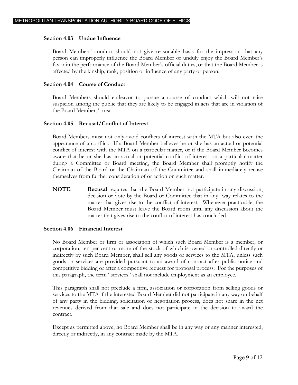#### **Section 4.03 Undue Influence**

<span id="page-10-0"></span>Board Members' conduct should not give reasonable basis for the impression that any person can improperly influence the Board Member or unduly enjoy the Board Member's favor in the performance of the Board Member's official duties, or that the Board Member is affected by the kinship, rank, position or influence of any party or person.

#### **Section 4.04 Course of Conduct**

<span id="page-10-1"></span>Board Members should endeavor to pursue a course of conduct which will not raise suspicion among the public that they are likely to be engaged in acts that are in violation of the Board Members' trust.

#### **Section 4.05 Recusal/Conflict of Interest**

<span id="page-10-2"></span>Board Members must not only avoid conflicts of interest with the MTA but also even the appearance of a conflict. If a Board Member believes he or she has an actual or potential conflict of interest with the MTA on a particular matter, or if the Board Member becomes aware that he or she has an actual or potential conflict of interest on a particular matter during a Committee or Board meeting, the Board Member shall promptly notify the Chairman of the Board or the Chairman of the Committee and shall immediately recuse themselves from further consideration of or action on such matter.

**NOTE**: **Recusal** requires that the Board Member not participate in any discussion, decision or vote by the Board or Committee that in any way relates to the matter that gives rise to the conflict of interest. Whenever practicable, the Board Member must leave the Board room until any discussion about the matter that gives rise to the conflict of interest has concluded.

#### **Section 4.06 Financial Interest**

<span id="page-10-3"></span>No Board Member or firm or association of which such Board Member is a member, or corporation, ten per cent or more of the stock of which is owned or controlled directly or indirectly by such Board Member, shall sell any goods or services to the MTA, unless such goods or services are provided pursuant to an award of contract after public notice and competitive bidding or after a competitive request for proposal process. For the purposes of this paragraph, the term "services" shall not include employment as an employee.

This paragraph shall not preclude a firm, association or corporation from selling goods or services to the MTA if the interested Board Member did not participate in any way on behalf of any party in the bidding, solicitation or negotiation process, does not share in the net revenues derived from that sale and does not participate in the decision to award the contract.

Except as permitted above, no Board Member shall be in any way or any manner interested, directly or indirectly, in any contract made by the MTA.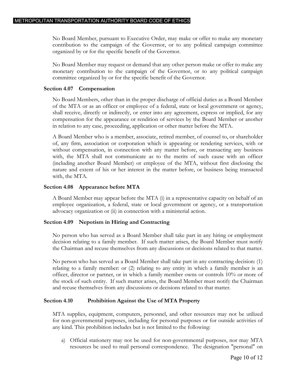No Board Member, pursuant to Executive Order, may make or offer to make any monetary contribution to the campaign of the Governor, or to any political campaign committee organized by or for the specific benefit of the Governor.

No Board Member may request or demand that any other person make or offer to make any monetary contribution to the campaign of the Governor, or to any political campaign committee organized by or for the specific benefit of the Governor.

#### **Section 4.07 Compensation**

<span id="page-11-0"></span>No Board Members, other than in the proper discharge of official duties as a Board Member of the MTA or as an officer or employee of a federal, state or local government or agency, shall receive, directly or indirectly, or enter into any agreement, express or implied, for any compensation for the appearance or rendition of services by the Board Member or another in relation to any case, proceeding, application or other matter before the MTA.

A Board Member who is a member, associate, retired member, of counsel to, or shareholder of, any firm, association or corporation which is appearing or rendering services, with or without compensation, in connection with any matter before, or transacting any business with, the MTA shall not communicate as to the merits of such cause with an officer (including another Board Member) or employee of the MTA, without first disclosing the nature and extent of his or her interest in the matter before, or business being transacted with, the MTA.

#### **Section 4.08 Appearance before MTA**

<span id="page-11-1"></span>A Board Member may appear before the MTA (i) in a representative capacity on behalf of an employee organization, a federal, state or local government or agency, or a transportation advocacy organization or (ii) in connection with a ministerial action.

#### **Section 4.09 Nepotism in Hiring and Contracting**

<span id="page-11-2"></span>No person who has served as a Board Member shall take part in any hiring or employment decision relating to a family member. If such matter arises, the Board Member must notify the Chairman and recuse themselves from any discussions or decisions related to that matter.

No person who has served as a Board Member shall take part in any contracting decision: (1) relating to a family member: or (2) relating to any entity in which a family member is an officer, director or partner, or in which a family member owns or controls 10% or more of the stock of such entity. If such matter arises, the Board Member must notify the Chairman and recuse themselves from any discussions or decisions related to that matter.

#### <span id="page-11-3"></span>**Section 4.10 Prohibition Against the Use of MTA Property**

MTA supplies, equipment, computers, personnel, and other resources may not be utilized for non-governmental purposes, including for personal purposes or for outside activities of any kind. This prohibition includes but is not limited to the following:

a) Official stationery may not be used for non-governmental purposes, nor may MTA resources be used to mail personal correspondence. The designation "personal" on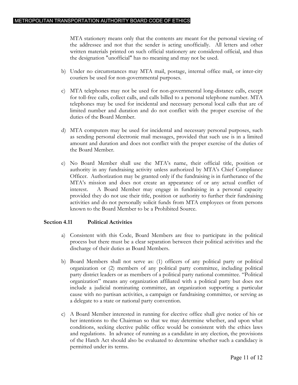MTA stationery means only that the contents are meant for the personal viewing of the addressee and not that the sender is acting unofficially. All letters and other written materials printed on such official stationery are considered official, and thus the designation "unofficial" has no meaning and may not be used.

- b) Under no circumstances may MTA mail, postage, internal office mail, or inter-city couriers be used for non-governmental purposes.
- c) MTA telephones may not be used for non-governmental long-distance calls, except for toll-free calls, collect calls, and calls billed to a personal telephone number. MTA telephones may be used for incidental and necessary personal local calls that are of limited number and duration and do not conflict with the proper exercise of the duties of the Board Member.
- d) MTA computers may be used for incidental and necessary personal purposes, such as sending personal electronic mail messages, provided that such use is in a limited amount and duration and does not conflict with the proper exercise of the duties of the Board Member.
- e) No Board Member shall use the MTA's name, their official title, position or authority in any fundraising activity unless authorized by MTA's Chief Compliance Officer. Authorization may be granted only if the fundraising is in furtherance of the MTA's mission and does not create an appearance of or any actual conflict of interest. A Board Member may engage in fundraising in a personal capacity provided they do not use their title, position or authority to further their fundraising activities and do not personally solicit funds from MTA employees or from persons known to the Board Member to be a Prohibited Source.

#### <span id="page-12-0"></span>**Section 4.11 Political Activities**

- a) Consistent with this Code, Board Members are free to participate in the political process but there must be a clear separation between their political activities and the discharge of their duties as Board Members.
- b) Board Members shall not serve as: (1) officers of any political party or political organization or (2) members of any political party committee, including political party district leaders or as members of a political party national committee. "Political organization" means any organization affiliated with a political party but does not include a judicial nominating committee, an organization supporting a particular cause with no partisan activities, a campaign or fundraising committee, or serving as a delegate to a state or national party convention.
- c) A Board Member interested in running for elective office shall give notice of his or her intentions to the Chairman so that we may determine whether, and upon what conditions, seeking elective public office would be consistent with the ethics laws and regulations. In advance of running as a candidate in any election, the provisions of the Hatch Act should also be evaluated to determine whether such a candidacy is permitted under its terms.